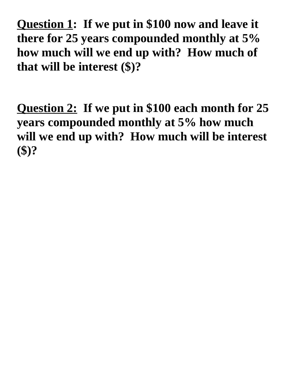**Question 1: If we put in \$100 now and leave it there for 25 years compounded monthly at 5% how much will we end up with? How much of that will be interest (\$)?**

**Question 2: If we put in \$100 each month for 25 years compounded monthly at 5% how much will we end up with? How much will be interest (\$)?**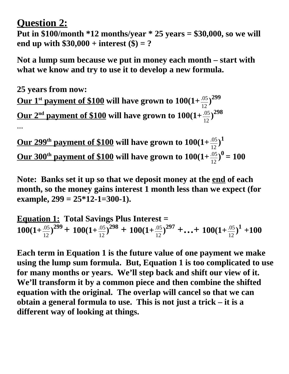## **Question 2:**

**Put in \$100/month \*12 months/year \* 25 years = \$30,000, so we will end up with \$30,000 + interest (\$) = ?**

**Not a lump sum because we put in money each month – start with what we know and try to use it to develop a new formula.**

**25 years from now:** <u>Our 1st payment of \$100</u> will have grown to  $100(1+\frac{.05}{12})^{299}$ <u>Our 2<sup>nd</sup> payment of \$100</u> will have grown to  $100(1+\frac{.05}{12})^{298}$ **…**

<u>Our 299<sup>th</sup> payment of \$100</u> will have grown to  $100(1+\frac{.05}{12})^1$ <u>**Our 300<sup>th</sup> payment of \$100</u> will have grown to**  $100(1+\frac{.05}{12})^{0} = 100$ **</u>** 

**Note: Banks set it up so that we deposit money at the end of each month, so the money gains interest 1 month less than we expect (for example, 299 = 25\*12-1=300-1).**

Equation 1: Total Savings Plus Interest =  
100(1+
$$
\frac{05}{12}
$$
)<sup>299</sup> + 100(1+ $\frac{05}{12}$ )<sup>298</sup> + 100(1+ $\frac{05}{12}$ )<sup>297</sup> +...+ 100(1+ $\frac{05}{12}$ )<sup>1</sup> +100

**Each term in Equation 1 is the future value of one payment we make using the lump sum formula. But, Equation 1 is too complicated to use for many months or years. We'll step back and shift our view of it. We'll transform it by a common piece and then combine the shifted equation with the original. The overlap will cancel so that we can obtain a general formula to use. This is not just a trick – it is a different way of looking at things.**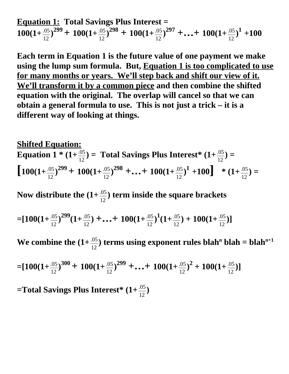**Equation 1: Total Savings Plus Interest =**  $100(1+\frac{.05}{12})^{299} + 100(1+\frac{.05}{12})^{298} + 100(1+\frac{.05}{12})^{297} + \ldots + 100(1+\frac{.05}{12})^1 + 100$ 

**Each term in Equation 1 is the future value of one payment we make using the lump sum formula. But, Equation 1 is too complicated to use for many months or years. We'll step back and shift our view of it. We'll transform it by a common piece and then combine the shifted equation with the original. The overlap will cancel so that we can obtain a general formula to use. This is not just a trick – it is a different way of looking at things.**

**Shifted Equation: Equation 1 \*** (1+ $\frac{.05}{12}$ ) = Total Savings Plus Interest\* (1+ $\frac{.05}{12}$ ) =  $\left[100(1+\frac{.05}{12})^{299}+100(1+\frac{.05}{12})^{298}+\ldots+100(1+\frac{.05}{12})^{1}+100\right]$  \*  $(1+\frac{.05}{12})=$ 

Now distribute the  $(1+\frac{.05}{12})$  term inside the square brackets

$$
=[100(1+\frac{.05}{12})^{299}(1+\frac{.05}{12})+...+100(1+\frac{.05}{12})^{1}(1+\frac{.05}{12})+100(1+\frac{.05}{12})]
$$

We combine the  $(1+\frac{.05}{12})$  terms using exponent rules blah<sup>n</sup> blah = blah<sup>n+1</sup>

$$
=[100(1+\frac{.05}{12})^{300}+100(1+\frac{.05}{12})^{299}+...+100(1+\frac{.05}{12})^2+100(1+\frac{.05}{12})]
$$

**=Total Savings Plus Interest\* (1+**.05 12 **)**